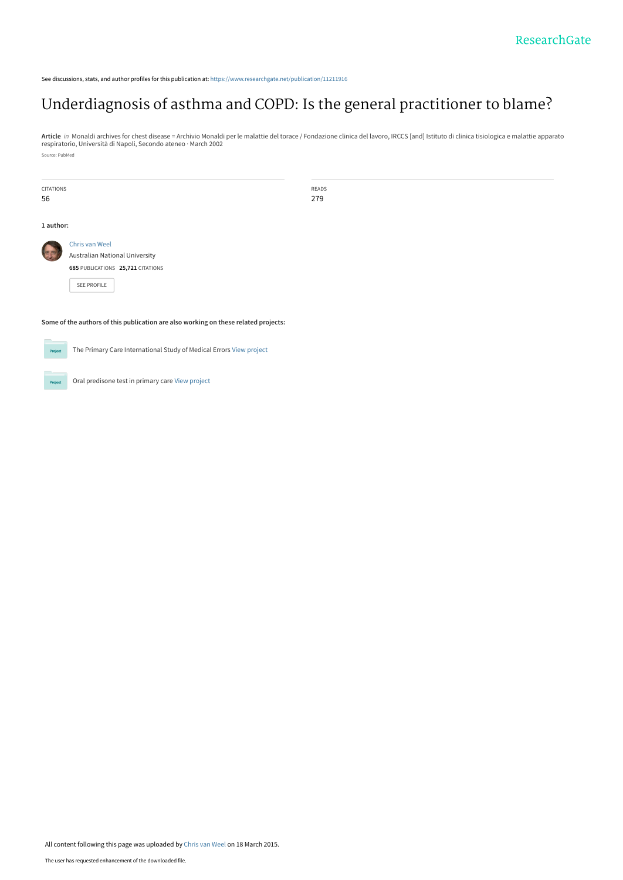See discussions, stats, and author profiles for this publication at: [https://www.researchgate.net/publication/11211916](https://www.researchgate.net/publication/11211916_Underdiagnosis_of_asthma_and_COPD_Is_the_general_practitioner_to_blame?enrichId=rgreq-e9f75011ee7a549a04b6e82c1eda5b8a-XXX&enrichSource=Y292ZXJQYWdlOzExMjExOTE2O0FTOjIwODMyMjQzMjExNDY5M0AxNDI2Njc5MzQ2NTEz&el=1_x_2&_esc=publicationCoverPdf)

## [Underdiagnosis of asthma and COPD: Is the general practitioner to blame?](https://www.researchgate.net/publication/11211916_Underdiagnosis_of_asthma_and_COPD_Is_the_general_practitioner_to_blame?enrichId=rgreq-e9f75011ee7a549a04b6e82c1eda5b8a-XXX&enrichSource=Y292ZXJQYWdlOzExMjExOTE2O0FTOjIwODMyMjQzMjExNDY5M0AxNDI2Njc5MzQ2NTEz&el=1_x_3&_esc=publicationCoverPdf)

**Article** *in* Monaldi archives for chest disease = Archivio Monaldi per le malattie del torace / Fondazione clinica del lavoro, IRCCS [and] Istituto di clinica tisiologica e malattie apparato<br>respiratorio, Università di N Source: PubMed

| <b>CITATIONS</b> |                                   | READS |  |  |
|------------------|-----------------------------------|-------|--|--|
| 56               |                                   | 279   |  |  |
|                  |                                   |       |  |  |
| 1 author:        |                                   |       |  |  |
| <b>A</b>         | Chris van Weel                    |       |  |  |
|                  | Australian National University    |       |  |  |
|                  | 685 PUBLICATIONS 25,721 CITATIONS |       |  |  |
|                  | SEE PROFILE                       |       |  |  |
|                  |                                   |       |  |  |
|                  |                                   |       |  |  |

#### **Some of the authors of this publication are also working on these related projects:**



The Primary Care International Study of Medical Errors [View project](https://www.researchgate.net/project/The-Primary-Care-International-Study-of-Medical-Errors?enrichId=rgreq-e9f75011ee7a549a04b6e82c1eda5b8a-XXX&enrichSource=Y292ZXJQYWdlOzExMjExOTE2O0FTOjIwODMyMjQzMjExNDY5M0AxNDI2Njc5MzQ2NTEz&el=1_x_9&_esc=publicationCoverPdf)



Oral predisone test in primary care [View project](https://www.researchgate.net/project/Oral-predisone-test-in-primary-care?enrichId=rgreq-e9f75011ee7a549a04b6e82c1eda5b8a-XXX&enrichSource=Y292ZXJQYWdlOzExMjExOTE2O0FTOjIwODMyMjQzMjExNDY5M0AxNDI2Njc5MzQ2NTEz&el=1_x_9&_esc=publicationCoverPdf)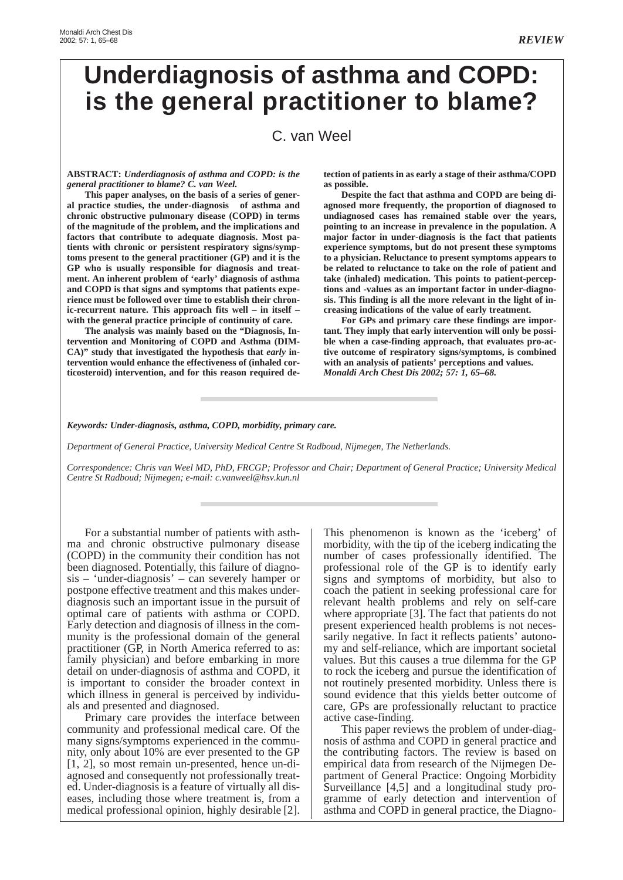# **Underdiagnosis of asthma and COPD: is the general practitioner to blame?**

### C. van Weel

#### **ABSTRACT:** *Underdiagnosis of asthma and COPD: is the general practitioner to blame? C. van Weel.*

**This paper analyses, on the basis of a series of general practice studies, the under-diagnosis of asthma and chronic obstructive pulmonary disease (COPD) in terms of the magnitude of the problem, and the implications and factors that contribute to adequate diagnosis. Most patients with chronic or persistent respiratory signs/symptoms present to the general practitioner (GP) and it is the GP who is usually responsible for diagnosis and treatment. An inherent problem of 'early' diagnosis of asthma and COPD is that signs and symptoms that patients experience must be followed over time to establish their chronic-recurrent nature. This approach fits well – in itself – with the general practice principle of continuity of care.**

**The analysis was mainly based on the "Diagnosis, Intervention and Monitoring of COPD and Asthma (DIM-CA)" study that investigated the hypothesis that** *early* **intervention would enhance the effectiveness of (inhaled corticosteroid) intervention, and for this reason required de-** **tection of patients in as early a stage of their asthma/COPD as possible.**

**Despite the fact that asthma and COPD are being diagnosed more frequently, the proportion of diagnosed to undiagnosed cases has remained stable over the years, pointing to an increase in prevalence in the population. A major factor in under-diagnosis is the fact that patients experience symptoms, but do not present these symptoms to a physician. Reluctance to present symptoms appears to be related to reluctance to take on the role of patient and take (inhaled) medication. This points to patient-perceptions and -values as an important factor in under-diagnosis. This finding is all the more relevant in the light of increasing indications of the value of early treatment.**

**For GPs and primary care these findings are important. They imply that early intervention will only be possible when a case-finding approach, that evaluates pro-active outcome of respiratory signs/symptoms, is combined with an analysis of patients' perceptions and values.** *Monaldi Arch Chest Dis 2002; 57: 1, 65–68.*

*Keywords: Under-diagnosis, asthma, COPD, morbidity, primary care.*

*Department of General Practice, University Medical Centre St Radboud, Nijmegen, The Netherlands.*

*Correspondence: Chris van Weel MD, PhD, FRCGP; Professor and Chair; Department of General Practice; University Medical Centre St Radboud; Nijmegen; e-mail: c.vanweel@hsv.kun.nl*

For a substantial number of patients with asthma and chronic obstructive pulmonary disease (COPD) in the community their condition has not been diagnosed. Potentially, this failure of diagnosis – 'under-diagnosis' – can severely hamper or postpone effective treatment and this makes underdiagnosis such an important issue in the pursuit of optimal care of patients with asthma or COPD. Early detection and diagnosis of illness in the community is the professional domain of the general practitioner (GP, in North America referred to as: family physician) and before embarking in more detail on under-diagnosis of asthma and COPD, it is important to consider the broader context in which illness in general is perceived by individuals and presented and diagnosed.

Primary care provides the interface between community and professional medical care. Of the many signs/symptoms experienced in the community, only about 10% are ever presented to the GP [1, 2], so most remain un-presented, hence un-diagnosed and consequently not professionally treated. Under-diagnosis is a feature of virtually all diseases, including those where treatment is, from a medical professional opinion, highly desirable [2].

This phenomenon is known as the 'iceberg' of morbidity, with the tip of the iceberg indicating the number of cases professionally identified. The professional role of the GP is to identify early signs and symptoms of morbidity, but also to coach the patient in seeking professional care for relevant health problems and rely on self-care where appropriate [3]. The fact that patients do not present experienced health problems is not necessarily negative. In fact it reflects patients' autonomy and self-reliance, which are important societal values. But this causes a true dilemma for the GP to rock the iceberg and pursue the identification of not routinely presented morbidity. Unless there is sound evidence that this yields better outcome of care, GPs are professionally reluctant to practice active case-finding.

This paper reviews the problem of under-diagnosis of asthma and COPD in general practice and the contributing factors. The review is based on empirical data from research of the Nijmegen Department of General Practice: Ongoing Morbidity Surveillance [4,5] and a longitudinal study programme of early detection and intervention of asthma and COPD in general practice, the Diagno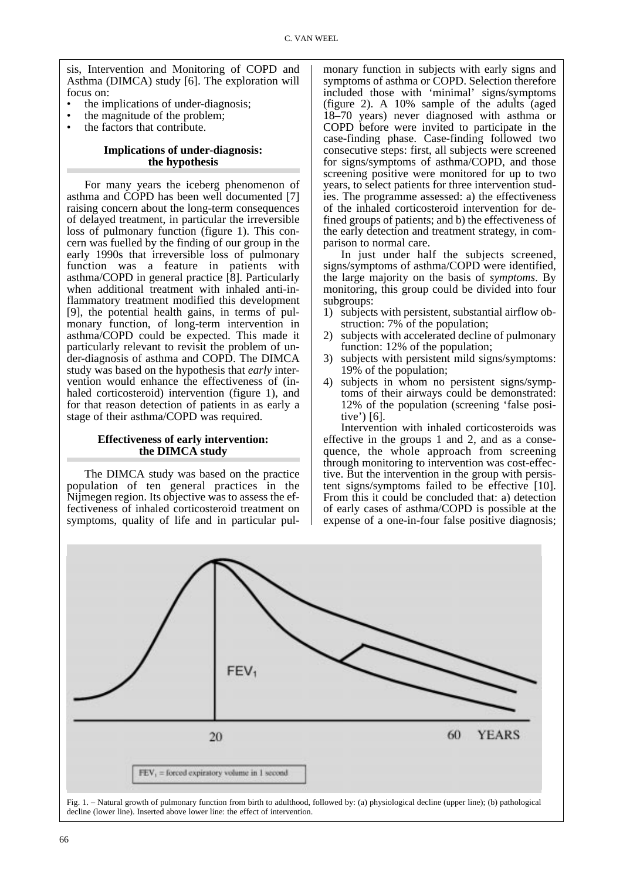sis, Intervention and Monitoring of COPD and Asthma (DIMCA) study [6]. The exploration will focus on:

- the implications of under-diagnosis;
- the magnitude of the problem;
- the factors that contribute.

#### **Implications of under-diagnosis: the hypothesis**

For many years the iceberg phenomenon of asthma and COPD has been well documented [7] raising concern about the long-term consequences of delayed treatment, in particular the irreversible loss of pulmonary function (figure 1). This concern was fuelled by the finding of our group in the early 1990s that irreversible loss of pulmonary function was a feature in patients with asthma/COPD in general practice [8]. Particularly when additional treatment with inhaled anti-inflammatory treatment modified this development [9], the potential health gains, in terms of pulmonary function, of long-term intervention in asthma/COPD could be expected. This made it particularly relevant to revisit the problem of under-diagnosis of asthma and COPD. The DIMCA study was based on the hypothesis that *early* intervention would enhance the effectiveness of (inhaled corticosteroid) intervention (figure 1), and for that reason detection of patients in as early a stage of their asthma/COPD was required.

#### **Effectiveness of early intervention: the DIMCA study**

The DIMCA study was based on the practice population of ten general practices in the Nijmegen region. Its objective was to assess the effectiveness of inhaled corticosteroid treatment on symptoms, quality of life and in particular pulmonary function in subjects with early signs and symptoms of asthma or COPD. Selection therefore included those with 'minimal' signs/symptoms (figure 2). A 10% sample of the adults (aged 18–70 years) never diagnosed with asthma or COPD before were invited to participate in the case-finding phase. Case-finding followed two consecutive steps: first, all subjects were screened for signs/symptoms of asthma/COPD, and those screening positive were monitored for up to two years, to select patients for three intervention studies. The programme assessed: a) the effectiveness of the inhaled corticosteroid intervention for defined groups of patients; and b) the effectiveness of the early detection and treatment strategy, in comparison to normal care.

In just under half the subjects screened, signs/symptoms of asthma/COPD were identified, the large majority on the basis of *symptoms*. By monitoring, this group could be divided into four subgroups:

- 1) subjects with persistent, substantial airflow obstruction: 7% of the population;
- 2) subjects with accelerated decline of pulmonary function: 12% of the population;
- 3) subjects with persistent mild signs/symptoms: 19% of the population;
- 4) subjects in whom no persistent signs/symptoms of their airways could be demonstrated: 12% of the population (screening 'false positive') [6].

Intervention with inhaled corticosteroids was effective in the groups 1 and 2, and as a consequence, the whole approach from screening through monitoring to intervention was cost-effective. But the intervention in the group with persistent signs/symptoms failed to be effective [10]. From this it could be concluded that: a) detection of early cases of asthma/COPD is possible at the expense of a one-in-four false positive diagnosis;

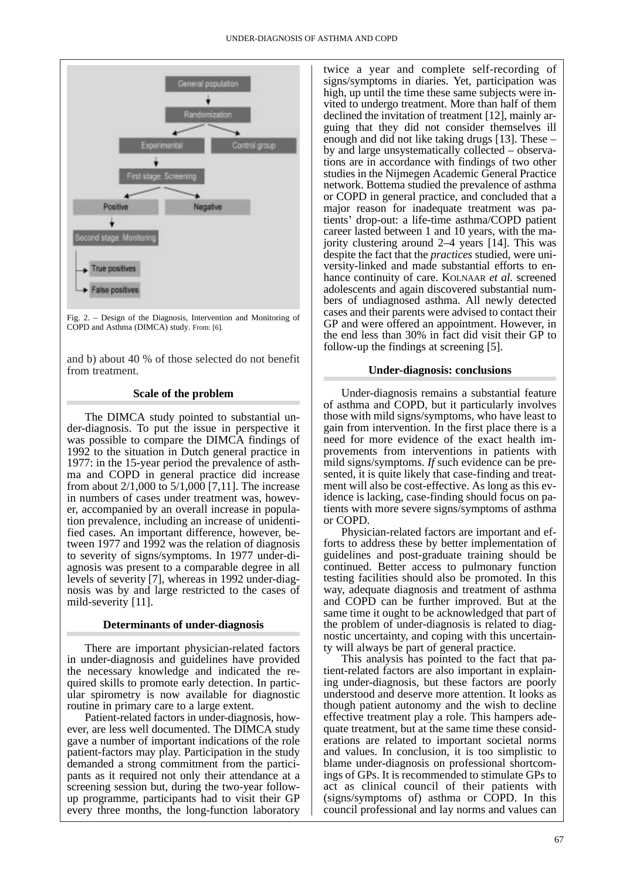

Fig. 2. – Design of the Diagnosis, Intervention and Monitoring of COPD and Asthma (DIMCA) study. From: [6].

and b) about 40 % of those selected do not benefit from treatment.

#### **Scale of the problem**

The DIMCA study pointed to substantial under-diagnosis. To put the issue in perspective it was possible to compare the DIMCA findings of 1992 to the situation in Dutch general practice in 1977: in the 15-year period the prevalence of asthma and COPD in general practice did increase from about 2/1,000 to 5/1,000 [7,11]. The increase in numbers of cases under treatment was, however, accompanied by an overall increase in population prevalence, including an increase of unidentified cases. An important difference, however, between 1977 and 1992 was the relation of diagnosis to severity of signs/symptoms. In 1977 under-diagnosis was present to a comparable degree in all levels of severity [7], whereas in 1992 under-diagnosis was by and large restricted to the cases of mild-severity [11].

#### **Determinants of under-diagnosis**

There are important physician-related factors in under-diagnosis and guidelines have provided the necessary knowledge and indicated the required skills to promote early detection. In particular spirometry is now available for diagnostic routine in primary care to a large extent.

Patient-related factors in under-diagnosis, however, are less well documented. The DIMCA study gave a number of important indications of the role patient-factors may play. Participation in the study demanded a strong commitment from the participants as it required not only their attendance at a screening session but, during the two-year followup programme, participants had to visit their GP every three months, the long-function laboratory

twice a year and complete self-recording of signs/symptoms in diaries. Yet, participation was high, up until the time these same subjects were invited to undergo treatment. More than half of them declined the invitation of treatment [12], mainly arguing that they did not consider themselves ill enough and did not like taking drugs [13]. These – by and large unsystematically collected – observations are in accordance with findings of two other studies in the Nijmegen Academic General Practice network. Bottema studied the prevalence of asthma or COPD in general practice, and concluded that a major reason for inadequate treatment was patients' drop-out: a life-time asthma/COPD patient career lasted between 1 and 10 years, with the majority clustering around 2–4 years [14]. This was despite the fact that the *practices* studied, were university-linked and made substantial efforts to enhance continuity of care. KOLNAAR *et al.* screened adolescents and again discovered substantial numbers of undiagnosed asthma. All newly detected cases and their parents were advised to contact their GP and were offered an appointment. However, in the end less than 30% in fact did visit their GP to follow-up the findings at screening [5].

#### **Under-diagnosis: conclusions**

Under-diagnosis remains a substantial feature of asthma and COPD, but it particularly involves those with mild signs/symptoms, who have least to gain from intervention. In the first place there is a need for more evidence of the exact health improvements from interventions in patients with mild signs/symptoms. *If* such evidence can be presented, it is quite likely that case-finding and treatment will also be cost-effective. As long as this evidence is lacking, case-finding should focus on patients with more severe signs/symptoms of asthma or COPD.

Physician-related factors are important and efforts to address these by better implementation of guidelines and post-graduate training should be continued. Better access to pulmonary function testing facilities should also be promoted. In this way, adequate diagnosis and treatment of asthma and COPD can be further improved. But at the same time it ought to be acknowledged that part of the problem of under-diagnosis is related to diagnostic uncertainty, and coping with this uncertainty will always be part of general practice.

This analysis has pointed to the fact that patient-related factors are also important in explaining under-diagnosis, but these factors are poorly understood and deserve more attention. It looks as though patient autonomy and the wish to decline effective treatment play a role. This hampers adequate treatment, but at the same time these considerations are related to important societal norms and values. In conclusion, it is too simplistic to blame under-diagnosis on professional shortcomings of GPs. It is recommended to stimulate GPs to act as clinical council of their patients with (signs/symptoms of) asthma or COPD. In this council professional and lay norms and values can